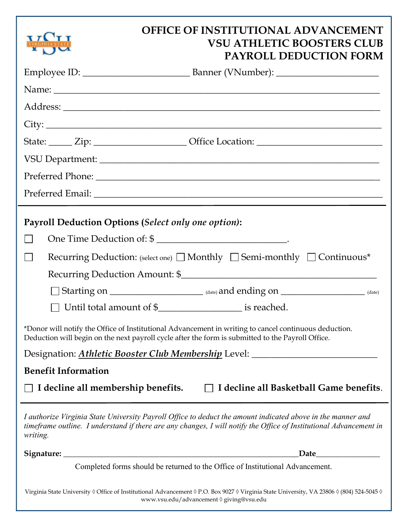|                                                                                                                                                                                                            | <b>OFFICE OF INSTITUTIONAL ADVANCEMENT</b><br><b>VSU ATHLETIC BOOSTERS CLUB</b><br><b>PAYROLL DEDUCTION FORM</b>                                                                                                                  |  |  |  |
|------------------------------------------------------------------------------------------------------------------------------------------------------------------------------------------------------------|-----------------------------------------------------------------------------------------------------------------------------------------------------------------------------------------------------------------------------------|--|--|--|
|                                                                                                                                                                                                            |                                                                                                                                                                                                                                   |  |  |  |
|                                                                                                                                                                                                            |                                                                                                                                                                                                                                   |  |  |  |
|                                                                                                                                                                                                            |                                                                                                                                                                                                                                   |  |  |  |
|                                                                                                                                                                                                            | $\text{City:}\_\_$                                                                                                                                                                                                                |  |  |  |
|                                                                                                                                                                                                            | State: <u>Zip: Zip: Office Location:</u>                                                                                                                                                                                          |  |  |  |
|                                                                                                                                                                                                            |                                                                                                                                                                                                                                   |  |  |  |
|                                                                                                                                                                                                            |                                                                                                                                                                                                                                   |  |  |  |
|                                                                                                                                                                                                            |                                                                                                                                                                                                                                   |  |  |  |
| Payroll Deduction Options (Select only one option):                                                                                                                                                        |                                                                                                                                                                                                                                   |  |  |  |
|                                                                                                                                                                                                            | One Time Deduction of: \$                                                                                                                                                                                                         |  |  |  |
|                                                                                                                                                                                                            | Recurring Deduction: (select one) $\Box$ Monthly $\Box$ Semi-monthly $\Box$ Continuous*                                                                                                                                           |  |  |  |
|                                                                                                                                                                                                            |                                                                                                                                                                                                                                   |  |  |  |
|                                                                                                                                                                                                            | $\Box$ Starting on $\Box$ (date) and ending on $\Box$ (date)                                                                                                                                                                      |  |  |  |
|                                                                                                                                                                                                            | Until total amount of \$_______________________ is reached.                                                                                                                                                                       |  |  |  |
| *Donor will notify the Office of Institutional Advancement in writing to cancel continuous deduction.<br>Deduction will begin on the next payroll cycle after the form is submitted to the Payroll Office. |                                                                                                                                                                                                                                   |  |  |  |
| Designation: Athletic Booster Club Membership Level: ___________________________                                                                                                                           |                                                                                                                                                                                                                                   |  |  |  |
| <b>Benefit Information</b>                                                                                                                                                                                 |                                                                                                                                                                                                                                   |  |  |  |
| I decline all membership benefits.                                                                                                                                                                         | I decline all Basketball Game benefits.                                                                                                                                                                                           |  |  |  |
| writing.                                                                                                                                                                                                   | I authorize Virginia State University Payroll Office to deduct the amount indicated above in the manner and<br>timeframe outline. I understand if there are any changes, I will notify the Office of Institutional Advancement in |  |  |  |
|                                                                                                                                                                                                            | Date <b>Date</b>                                                                                                                                                                                                                  |  |  |  |
| Completed forms should be returned to the Office of Institutional Advancement.                                                                                                                             |                                                                                                                                                                                                                                   |  |  |  |
| Virginia State University 0 Office of Institutional Advancement 0 P.O. Box 9027 0 Virginia State University, VA 23806 0 (804) 524-5045 0<br>www.vsu.edu/advancement 0 giving@vsu.edu                       |                                                                                                                                                                                                                                   |  |  |  |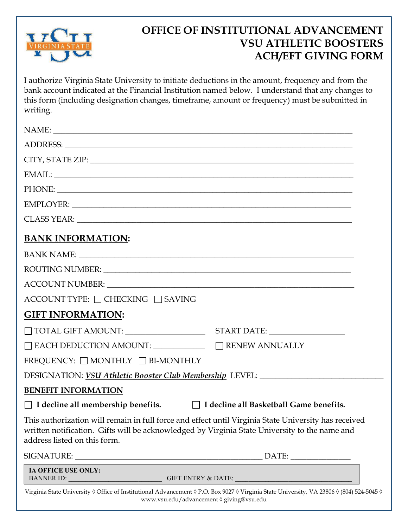

# OFFICE OF INSTITUTIONAL ADVANCEMENT VSU ATHLETIC BOOSTERS ACH/EFT GIVING FORM

I authorize Virginia State University to initiate deductions in the amount, frequency and from the bank account indicated at the Financial Institution named below. I understand that any changes to this form (including designation changes, timeframe, amount or frequency) must be submitted in writing.

| CITY, STATE ZIP: University of the CITY, STATE ZIP:                                                                                                                                                                                   |  |  |  |
|---------------------------------------------------------------------------------------------------------------------------------------------------------------------------------------------------------------------------------------|--|--|--|
|                                                                                                                                                                                                                                       |  |  |  |
|                                                                                                                                                                                                                                       |  |  |  |
|                                                                                                                                                                                                                                       |  |  |  |
|                                                                                                                                                                                                                                       |  |  |  |
| <b>BANK INFORMATION:</b>                                                                                                                                                                                                              |  |  |  |
|                                                                                                                                                                                                                                       |  |  |  |
| ROUTING NUMBER: NORTH SERVICE SERVICES IN THE SERVICE SERVICE SERVICE SERVICE SERVICE SERVICE SERVICE SERVICE SERVICE SERVICE SERVICE SERVICE SERVICE SERVICE SERVICE SERVICE SERVICE SERVICE SERVICE SERVICE SERVICE SERVICE         |  |  |  |
| ACCOUNT NUMBER: University of the COUNT SUMBER COUNT AUTO ACCOUNT AUTO ACCOUNT AUTO ACCOUNT AUTO ACCOUNT AUTO                                                                                                                         |  |  |  |
| ACCOUNT TYPE: □ CHECKING □ SAVING                                                                                                                                                                                                     |  |  |  |
| <b>GIFT INFORMATION:</b>                                                                                                                                                                                                              |  |  |  |
|                                                                                                                                                                                                                                       |  |  |  |
|                                                                                                                                                                                                                                       |  |  |  |
| FREQUENCY: □ MONTHLY □ BI-MONTHLY                                                                                                                                                                                                     |  |  |  |
| DESIGNATION: VSU Athletic Booster Club Membership LEVEL: _______________________                                                                                                                                                      |  |  |  |
| <b>BENEFIT INFORMATION</b>                                                                                                                                                                                                            |  |  |  |
| □ I decline all membership benefits.<br>□ I decline all Basketball Game benefits.                                                                                                                                                     |  |  |  |
| This authorization will remain in full force and effect until Virginia State University has received<br>written notification. Gifts will be acknowledged by Virginia State University to the name and<br>address listed on this form. |  |  |  |
|                                                                                                                                                                                                                                       |  |  |  |
| IA OFFICE USE ONLY:<br><b>BANNER ID:</b><br><b>GIFT ENTRY &amp; DATE:</b>                                                                                                                                                             |  |  |  |
| Virginia State University ◊ Office of Institutional Advancement ◊ P.O. Box 9027 ◊ Virginia State University, VA 23806 ◊ (804) 524-5045 ◊                                                                                              |  |  |  |

www.vsu.edu/advancement ◊ giving@vsu.edu